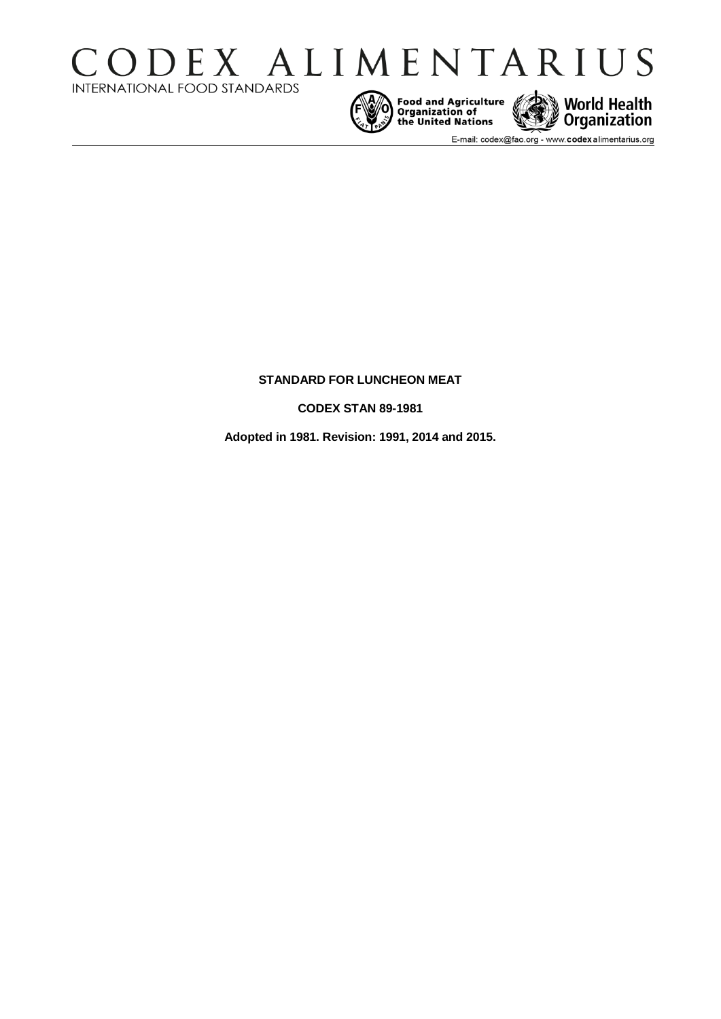







E-mail: codex@fao.org - www.codexalimentarius.org

# **STANDARD FOR LUNCHEON MEAT**

**CODEX STAN 89-1981** 

**Adopted in 1981. Revision: 1991, 2014 and 2015.**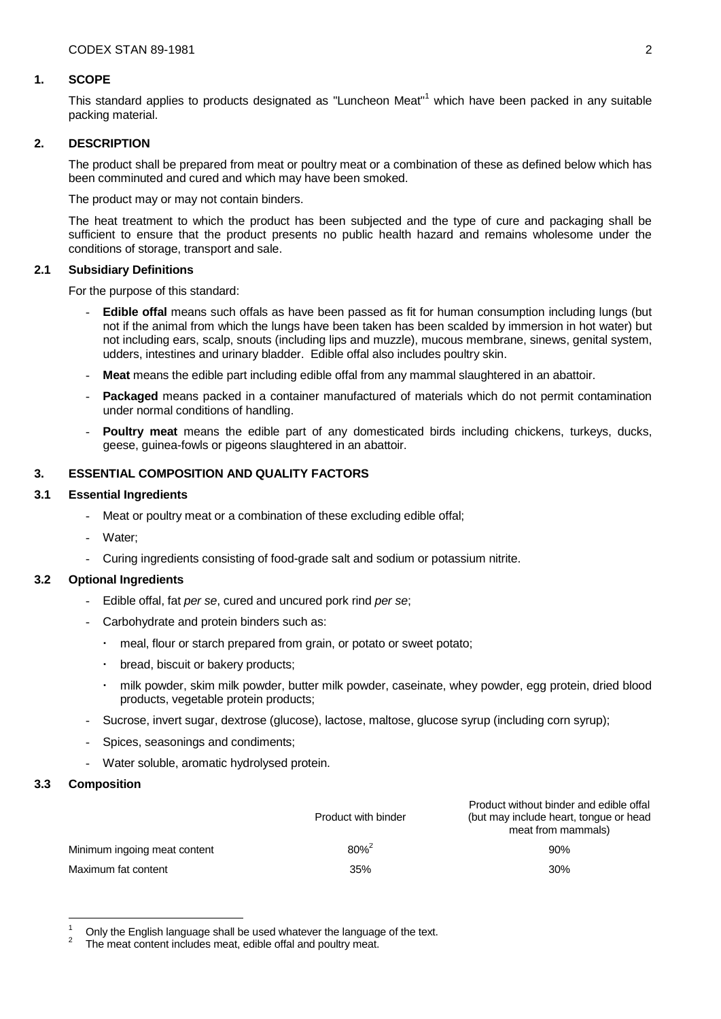#### **1. SCOPE**

This standard applies to products designated as "Luncheon Meat"<sup>1</sup> which have been packed in any suitable packing material.

## **2. DESCRIPTION**

The product shall be prepared from meat or poultry meat or a combination of these as defined below which has been comminuted and cured and which may have been smoked.

The product may or may not contain binders.

The heat treatment to which the product has been subjected and the type of cure and packaging shall be sufficient to ensure that the product presents no public health hazard and remains wholesome under the conditions of storage, transport and sale.

## **2.1 Subsidiary Definitions**

For the purpose of this standard:

- **Edible offal** means such offals as have been passed as fit for human consumption including lungs (but not if the animal from which the lungs have been taken has been scalded by immersion in hot water) but not including ears, scalp, snouts (including lips and muzzle), mucous membrane, sinews, genital system, udders, intestines and urinary bladder. Edible offal also includes poultry skin.
- **Meat** means the edible part including edible offal from any mammal slaughtered in an abattoir.
- **Packaged** means packed in a container manufactured of materials which do not permit contamination under normal conditions of handling.
- **Poultry meat** means the edible part of any domesticated birds including chickens, turkeys, ducks, geese, guinea-fowls or pigeons slaughtered in an abattoir.

# **3. ESSENTIAL COMPOSITION AND QUALITY FACTORS**

#### **3.1 Essential Ingredients**

- Meat or poultry meat or a combination of these excluding edible offal;
- Water:
- Curing ingredients consisting of food-grade salt and sodium or potassium nitrite.

## **3.2 Optional Ingredients**

- Edible offal, fat *per se*, cured and uncured pork rind *per se*;
- Carbohydrate and protein binders such as:
	- meal, flour or starch prepared from grain, or potato or sweet potato;
	- bread, biscuit or bakery products;
	- milk powder, skim milk powder, butter milk powder, caseinate, whey powder, egg protein, dried blood products, vegetable protein products;
- Sucrose, invert sugar, dextrose (glucose), lactose, maltose, glucose syrup (including corn syrup);
- Spices, seasonings and condiments;
- Water soluble, aromatic hydrolysed protein.

#### **3.3 Composition**

1

|                              | Product with binder | Product without binder and edible offal<br>(but may include heart, tonque or head<br>meat from mammals) |
|------------------------------|---------------------|---------------------------------------------------------------------------------------------------------|
| Minimum ingoing meat content | $80\%^{2}$          | 90%                                                                                                     |
| Maximum fat content          | 35%                 | 30%                                                                                                     |

<sup>1</sup> Only the English language shall be used whatever the language of the text.

<sup>2</sup> The meat content includes meat, edible offal and poultry meat.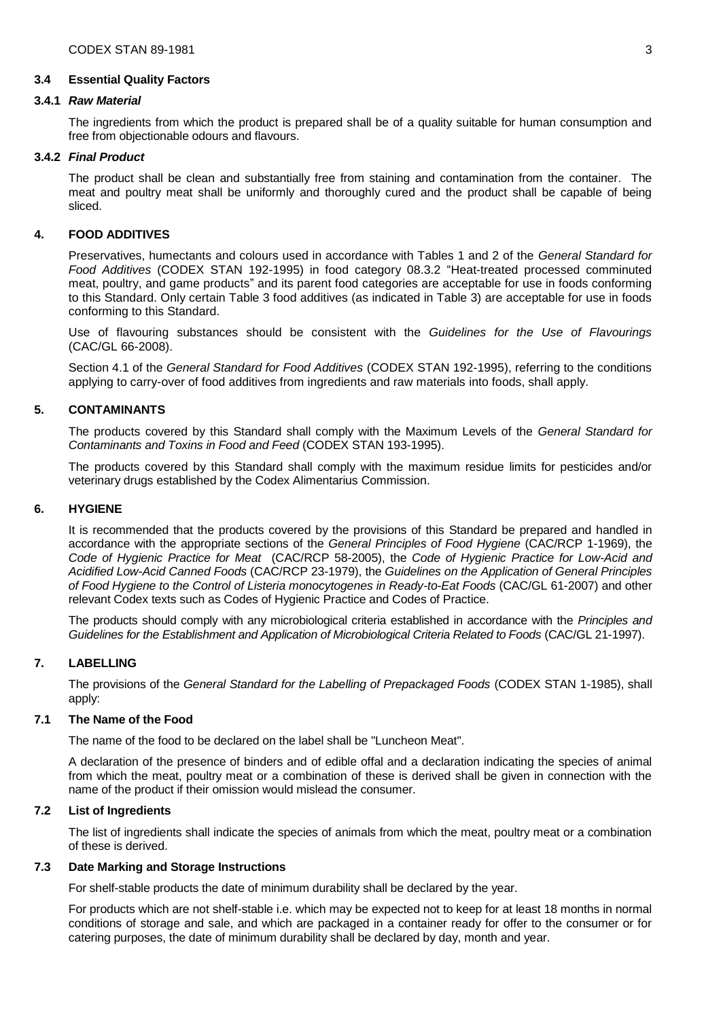## **3.4 Essential Quality Factors**

#### **3.4.1** *Raw Material*

The ingredients from which the product is prepared shall be of a quality suitable for human consumption and free from objectionable odours and flavours.

## **3.4.2** *Final Product*

The product shall be clean and substantially free from staining and contamination from the container. The meat and poultry meat shall be uniformly and thoroughly cured and the product shall be capable of being sliced.

## **4. FOOD ADDITIVES**

Preservatives, humectants and colours used in accordance with Tables 1 and 2 of the *General Standard for Food Additives* (CODEX STAN 192-1995) in food category 08.3.2 "Heat-treated processed comminuted meat, poultry, and game products" and its parent food categories are acceptable for use in foods conforming to this Standard. Only certain Table 3 food additives (as indicated in Table 3) are acceptable for use in foods conforming to this Standard.

Use of flavouring substances should be consistent with the *Guidelines for the Use of Flavourings* (CAC/GL 66-2008).

Section 4.1 of the *General Standard for Food Additives* (CODEX STAN 192-1995), referring to the conditions applying to carry-over of food additives from ingredients and raw materials into foods, shall apply.

## **5. CONTAMINANTS**

The products covered by this Standard shall comply with the Maximum Levels of the *General Standard for Contaminants and Toxins in Food and Feed* (CODEX STAN 193-1995).

The products covered by this Standard shall comply with the maximum residue limits for pesticides and/or veterinary drugs established by the Codex Alimentarius Commission.

#### **6. HYGIENE**

It is recommended that the products covered by the provisions of this Standard be prepared and handled in accordance with the appropriate sections of the *General Principles of Food Hygiene* (CAC/RCP 1-1969), the *Code of Hygienic Practice for Meat* (CAC/RCP 58-2005), the *Code of Hygienic Practice for Low-Acid and Acidified Low-Acid Canned Foods* (CAC/RCP 23-1979), the *Guidelines on the Application of General Principles of Food Hygiene to the Control of Listeria monocytogenes in Ready-to-Eat Foods* (CAC/GL 61-2007) and other relevant Codex texts such as Codes of Hygienic Practice and Codes of Practice.

The products should comply with any microbiological criteria established in accordance with the *Principles and Guidelines for the Establishment and Application of Microbiological Criteria Related to Foods* (CAC/GL 21-1997).

## **7. LABELLING**

The provisions of the *General Standard for the Labelling of Prepackaged Foods* (CODEX STAN 1-1985), shall apply:

#### **7.1 The Name of the Food**

The name of the food to be declared on the label shall be "Luncheon Meat".

A declaration of the presence of binders and of edible offal and a declaration indicating the species of animal from which the meat, poultry meat or a combination of these is derived shall be given in connection with the name of the product if their omission would mislead the consumer.

#### **7.2 List of Ingredients**

The list of ingredients shall indicate the species of animals from which the meat, poultry meat or a combination of these is derived.

## **7.3 Date Marking and Storage Instructions**

For shelf-stable products the date of minimum durability shall be declared by the year.

For products which are not shelf-stable i.e. which may be expected not to keep for at least 18 months in normal conditions of storage and sale, and which are packaged in a container ready for offer to the consumer or for catering purposes, the date of minimum durability shall be declared by day, month and year.